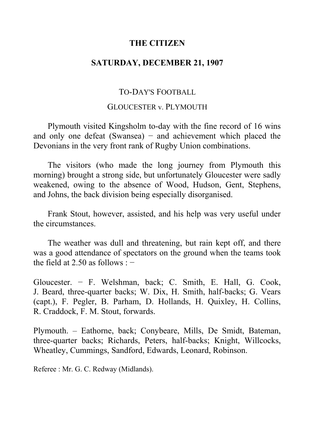# **THE CITIZEN**

# **SATURDAY, DECEMBER 21, 1907**

# TO-DAY'S FOOTBALL

#### GLOUCESTER v. PLYMOUTH

Plymouth visited Kingsholm to-day with the fine record of 16 wins and only one defeat (Swansea) – and achievement which placed the Devonians in the very front rank of Rugby Union combinations.

The visitors (who made the long journey from Plymouth this morning) brought a strong side, but unfortunately Gloucester were sadly weakened, owing to the absence of Wood, Hudson, Gent, Stephens, and Johns, the back division being especially disorganised.

Frank Stout, however, assisted, and his help was very useful under the circumstances.

The weather was dull and threatening, but rain kept off, and there was a good attendance of spectators on the ground when the teams took the field at 2.50 as follows :  $-$ 

Gloucester. − F. Welshman, back; C. Smith, E. Hall, G. Cook, J. Beard, three-quarter backs; W. Dix, H. Smith, half-backs; G. Vears (capt.), F. Pegler, B. Parham, D. Hollands, H. Quixley, H. Collins, R. Craddock, F. M. Stout, forwards.

Plymouth. ‒ Eathorne, back; Conybeare, Mills, De Smidt, Bateman, three-quarter backs; Richards, Peters, half-backs; Knight, Willcocks, Wheatley, Cummings, Sandford, Edwards, Leonard, Robinson.

Referee : Mr. G. C. Redway (Midlands).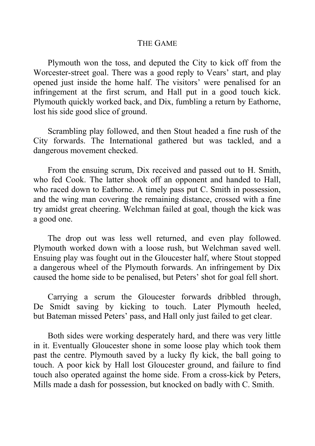### THE GAME

Plymouth won the toss, and deputed the City to kick off from the Worcester-street goal. There was a good reply to Vears' start, and play opened just inside the home half. The visitors' were penalised for an infringement at the first scrum, and Hall put in a good touch kick. Plymouth quickly worked back, and Dix, fumbling a return by Eathorne, lost his side good slice of ground.

Scrambling play followed, and then Stout headed a fine rush of the City forwards. The International gathered but was tackled, and a dangerous movement checked.

From the ensuing scrum, Dix received and passed out to H. Smith, who fed Cook. The latter shook off an opponent and handed to Hall, who raced down to Eathorne. A timely pass put C. Smith in possession, and the wing man covering the remaining distance, crossed with a fine try amidst great cheering. Welchman failed at goal, though the kick was a good one.

The drop out was less well returned, and even play followed. Plymouth worked down with a loose rush, but Welchman saved well. Ensuing play was fought out in the Gloucester half, where Stout stopped a dangerous wheel of the Plymouth forwards. An infringement by Dix caused the home side to be penalised, but Peters' shot for goal fell short.

Carrying a scrum the Gloucester forwards dribbled through, De Smidt saving by kicking to touch. Later Plymouth heeled, but Bateman missed Peters' pass, and Hall only just failed to get clear.

Both sides were working desperately hard, and there was very little in it. Eventually Gloucester shone in some loose play which took them past the centre. Plymouth saved by a lucky fly kick, the ball going to touch. A poor kick by Hall lost Gloucester ground, and failure to find touch also operated against the home side. From a cross-kick by Peters, Mills made a dash for possession, but knocked on badly with C. Smith.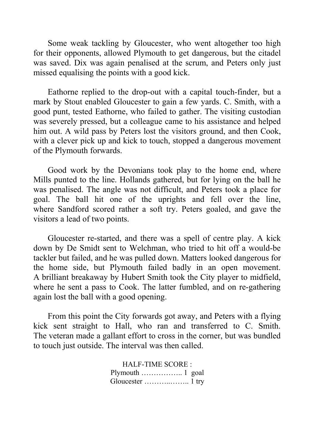Some weak tackling by Gloucester, who went altogether too high for their opponents, allowed Plymouth to get dangerous, but the citadel was saved. Dix was again penalised at the scrum, and Peters only just missed equalising the points with a good kick.

Eathorne replied to the drop-out with a capital touch-finder, but a mark by Stout enabled Gloucester to gain a few yards. C. Smith, with a good punt, tested Eathorne, who failed to gather. The visiting custodian was severely pressed, but a colleague came to his assistance and helped him out. A wild pass by Peters lost the visitors ground, and then Cook, with a clever pick up and kick to touch, stopped a dangerous movement of the Plymouth forwards.

Good work by the Devonians took play to the home end, where Mills punted to the line. Hollands gathered, but for lying on the ball he was penalised. The angle was not difficult, and Peters took a place for goal. The ball hit one of the uprights and fell over the line, where Sandford scored rather a soft try. Peters goaled, and gave the visitors a lead of two points.

Gloucester re-started, and there was a spell of centre play. A kick down by De Smidt sent to Welchman, who tried to hit off a would-be tackler but failed, and he was pulled down. Matters looked dangerous for the home side, but Plymouth failed badly in an open movement. A brilliant breakaway by Hubert Smith took the City player to midfield, where he sent a pass to Cook. The latter fumbled, and on re-gathering again lost the ball with a good opening.

From this point the City forwards got away, and Peters with a flying kick sent straight to Hall, who ran and transferred to C. Smith. The veteran made a gallant effort to cross in the corner, but was bundled to touch just outside. The interval was then called.

> HALF-TIME SCORE : Plymouth …………….. 1 goal Gloucester ………..…….. 1 try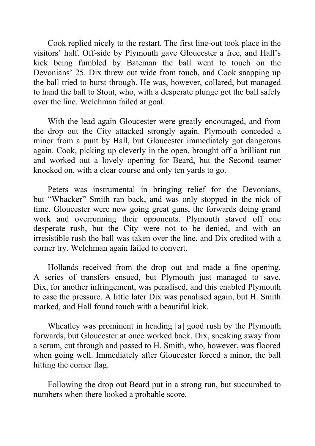Cook replied nicely to the restart. The first line-out took place in the visitors' half. Off-side by Plymouth gave Gloucester a free, and Hall's kick being fumbled by Bateman the ball went to touch on the Devonians' 25. Dix threw out wide from touch, and Cook snapping up the ball tried to burst through. He was, however, collared, but managed to hand the ball to Stout, who, with a desperate plunge got the ball safely over the line. Welchman failed at goal.

With the lead again Gloucester were greatly encouraged, and from the drop out the City attacked strongly again. Plymouth conceded a minor from a punt by Hall, but Gloucester immediately got dangerous again. Cook, picking up cleverly in the open, brought off a brilliant run and worked out a lovely opening for Beard, but the Second teamer knocked on, with a clear course and only ten yards to go.

Peters was instrumental in bringing relief for the Devonians, but "Whacker" Smith ran back, and was only stopped in the nick of time. Gloucester were now going great guns, the forwards doing grand work and overrunning their opponents. Plymouth staved off one desperate rush, but the City were not to be denied, and with an irresistible rush the ball was taken over the line, and Dix credited with a corner try. Welchman again failed to convert.

Hollands received from the drop out and made a fine opening. A series of transfers ensued, but Plymouth just managed to save. Dix, for another infringement, was penalised, and this enabled Plymouth to ease the pressure. A little later Dix was penalised again, but H. Smith marked, and Hall found touch with a beautiful kick.

Wheatley was prominent in heading [a] good rush by the Plymouth forwards, but Gloucester at once worked back. Dix, sneaking away from a scrum, cut through and passed to H. Smith, who, however, was floored when going well. Immediately after Gloucester forced a minor, the ball hitting the corner flag.

Following the drop out Beard put in a strong run, but succumbed to numbers when there looked a probable score.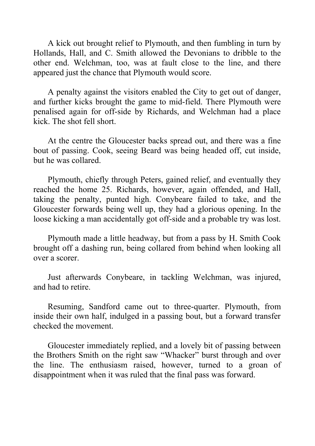A kick out brought relief to Plymouth, and then fumbling in turn by Hollands, Hall, and C. Smith allowed the Devonians to dribble to the other end. Welchman, too, was at fault close to the line, and there appeared just the chance that Plymouth would score.

A penalty against the visitors enabled the City to get out of danger, and further kicks brought the game to mid-field. There Plymouth were penalised again for off-side by Richards, and Welchman had a place kick. The shot fell short.

At the centre the Gloucester backs spread out, and there was a fine bout of passing. Cook, seeing Beard was being headed off, cut inside, but he was collared.

Plymouth, chiefly through Peters, gained relief, and eventually they reached the home 25. Richards, however, again offended, and Hall, taking the penalty, punted high. Conybeare failed to take, and the Gloucester forwards being well up, they had a glorious opening. In the loose kicking a man accidentally got off-side and a probable try was lost.

Plymouth made a little headway, but from a pass by H. Smith Cook brought off a dashing run, being collared from behind when looking all over a scorer.

Just afterwards Conybeare, in tackling Welchman, was injured, and had to retire.

Resuming, Sandford came out to three-quarter. Plymouth, from inside their own half, indulged in a passing bout, but a forward transfer checked the movement.

Gloucester immediately replied, and a lovely bit of passing between the Brothers Smith on the right saw "Whacker" burst through and over the line. The enthusiasm raised, however, turned to a groan of disappointment when it was ruled that the final pass was forward.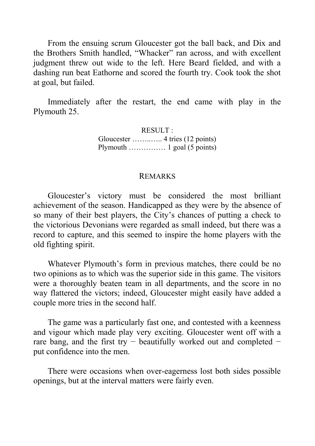From the ensuing scrum Gloucester got the ball back, and Dix and the Brothers Smith handled, "Whacker" ran across, and with excellent judgment threw out wide to the left. Here Beard fielded, and with a dashing run beat Eathorne and scored the fourth try. Cook took the shot at goal, but failed.

Immediately after the restart, the end came with play in the Plymouth 25.

> RESULT : Gloucester ……..….. 4 tries (12 points) Plymouth …………… 1 goal (5 points)

#### REMARKS

Gloucester's victory must be considered the most brilliant achievement of the season. Handicapped as they were by the absence of so many of their best players, the City's chances of putting a check to the victorious Devonians were regarded as small indeed, but there was a record to capture, and this seemed to inspire the home players with the old fighting spirit.

Whatever Plymouth's form in previous matches, there could be no two opinions as to which was the superior side in this game. The visitors were a thoroughly beaten team in all departments, and the score in no way flattered the victors; indeed, Gloucester might easily have added a couple more tries in the second half.

The game was a particularly fast one, and contested with a keenness and vigour which made play very exciting. Gloucester went off with a rare bang, and the first try – beautifully worked out and completed – put confidence into the men.

There were occasions when over-eagerness lost both sides possible openings, but at the interval matters were fairly even.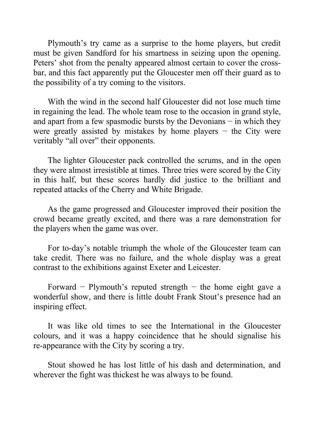Plymouth's try came as a surprise to the home players, but credit must be given Sandford for his smartness in seizing upon the opening. Peters' shot from the penalty appeared almost certain to cover the crossbar, and this fact apparently put the Gloucester men off their guard as to the possibility of a try coming to the visitors.

With the wind in the second half Gloucester did not lose much time in regaining the lead. The whole team rose to the occasion in grand style, and apart from a few spasmodic bursts by the Devonians − in which they were greatly assisted by mistakes by home players  $-$  the City were veritably "all over" their opponents.

The lighter Gloucester pack controlled the scrums, and in the open they were almost irresistible at times. Three tries were scored by the City in this half, but these scores hardly did justice to the brilliant and repeated attacks of the Cherry and White Brigade.

As the game progressed and Gloucester improved their position the crowd became greatly excited, and there was a rare demonstration for the players when the game was over.

For to-day's notable triumph the whole of the Gloucester team can take credit. There was no failure, and the whole display was a great contrast to the exhibitions against Exeter and Leicester.

Forward − Plymouth's reputed strength − the home eight gave a wonderful show, and there is little doubt Frank Stout's presence had an inspiring effect.

It was like old times to see the International in the Gloucester colours, and it was a happy coincidence that he should signalise his re-appearance with the City by scoring a try.

Stout showed he has lost little of his dash and determination, and wherever the fight was thickest he was always to be found.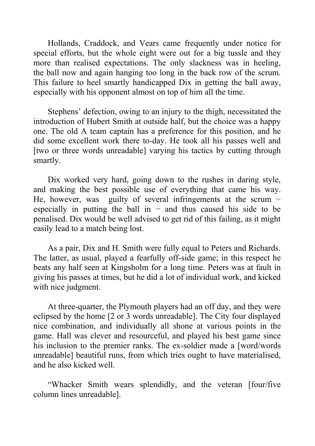Hollands, Craddock, and Vears came frequently under notice for special efforts, but the whole eight were out for a big tussle and they more than realised expectations. The only slackness was in heeling, the ball now and again hanging too long in the back row of the scrum. This failure to heel smartly handicapped Dix in getting the ball away, especially with his opponent almost on top of him all the time.

Stephens' defection, owing to an injury to the thigh, necessitated the introduction of Hubert Smith at outside half, but the choice was a happy one. The old A team captain has a preference for this position, and he did some excellent work there to-day. He took all his passes well and [two or three words unreadable] varying his tactics by cutting through smartly.

Dix worked very hard, going down to the rushes in daring style, and making the best possible use of everything that came his way. He, however, was guilty of several infringements at the scrum − especially in putting the ball in  $-$  and thus caused his side to be penalised. Dix would be well advised to get rid of this failing, as it might easily lead to a match being lost.

As a pair, Dix and H. Smith were fully equal to Peters and Richards. The latter, as usual, played a fearfully off-side game; in this respect he beats any half seen at Kingsholm for a long time. Peters was at fault in giving his passes at times, but he did a lot of individual work, and kicked with nice judgment.

At three-quarter, the Plymouth players had an off day, and they were eclipsed by the home [2 or 3 words unreadable]. The City four displayed nice combination, and individually all shone at various points in the game. Hall was clever and resourceful, and played his best game since his inclusion to the premier ranks. The ex-soldier made a [word/words] unreadable] beautiful runs, from which tries ought to have materialised, and he also kicked well.

"Whacker Smith wears splendidly, and the veteran [four/five column lines unreadable].